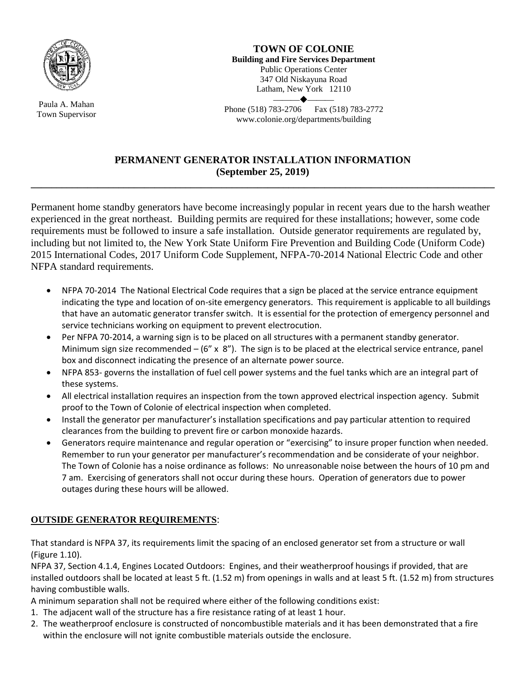

Paula A. Mahan Town Supervisor

**TOWN OF COLONIE Building and Fire Services Department** Public Operations Center 347 Old Niskayuna Road Latham, New York 12110  $\longrightarrow$ 

Phone (518) 783-2706 Fax (518) 783-2772 www.colonie.org/departments/building

## **PERMANENT GENERATOR INSTALLATION INFORMATION (September 25, 2019)**

**\_\_\_\_\_\_\_\_\_\_\_\_\_\_\_\_\_\_\_\_\_\_\_\_\_\_\_\_\_\_\_\_\_\_\_\_\_\_\_\_\_\_\_\_\_\_\_\_\_\_\_\_\_\_\_\_\_\_\_\_\_\_\_\_\_\_\_\_\_\_\_\_\_\_\_\_\_\_\_\_\_\_\_\_\_\_\_\_\_\_**

Permanent home standby generators have become increasingly popular in recent years due to the harsh weather experienced in the great northeast. Building permits are required for these installations; however, some code requirements must be followed to insure a safe installation. Outside generator requirements are regulated by, including but not limited to, the New York State Uniform Fire Prevention and Building Code (Uniform Code) 2015 International Codes, 2017 Uniform Code Supplement, NFPA-70-2014 National Electric Code and other NFPA standard requirements.

- NFPA 70-2014 The National Electrical Code requires that a sign be placed at the service entrance equipment indicating the type and location of on-site emergency generators. This requirement is applicable to all buildings that have an automatic generator transfer switch. It is essential for the protection of emergency personnel and service technicians working on equipment to prevent electrocution.
- Per NFPA 70-2014, a warning sign is to be placed on all structures with a permanent standby generator. Minimum sign size recommended  $- (6'' \times 8'')$ . The sign is to be placed at the electrical service entrance, panel box and disconnect indicating the presence of an alternate power source.
- NFPA 853- governs the installation of fuel cell power systems and the fuel tanks which are an integral part of these systems.
- All electrical installation requires an inspection from the town approved electrical inspection agency. Submit proof to the Town of Colonie of electrical inspection when completed.
- Install the generator per manufacturer's installation specifications and pay particular attention to required clearances from the building to prevent fire or carbon monoxide hazards.
- Generators require maintenance and regular operation or "exercising" to insure proper function when needed. Remember to run your generator per manufacturer's recommendation and be considerate of your neighbor. The Town of Colonie has a noise ordinance as follows: No unreasonable noise between the hours of 10 pm and 7 am. Exercising of generators shall not occur during these hours. Operation of generators due to power outages during these hours will be allowed.

## **OUTSIDE GENERATOR REQUIREMENTS**:

That standard is NFPA 37, its requirements limit the spacing of an enclosed generator set from a structure or wall (Figure 1.10).

NFPA 37, Section 4.1.4, Engines Located Outdoors: Engines, and their weatherproof housings if provided, that are installed outdoors shall be located at least 5 ft. (1.52 m) from openings in walls and at least 5 ft. (1.52 m) from structures having combustible walls.

A minimum separation shall not be required where either of the following conditions exist:

- 1. The adjacent wall of the structure has a fire resistance rating of at least 1 hour.
- 2. The weatherproof enclosure is constructed of noncombustible materials and it has been demonstrated that a fire within the enclosure will not ignite combustible materials outside the enclosure.